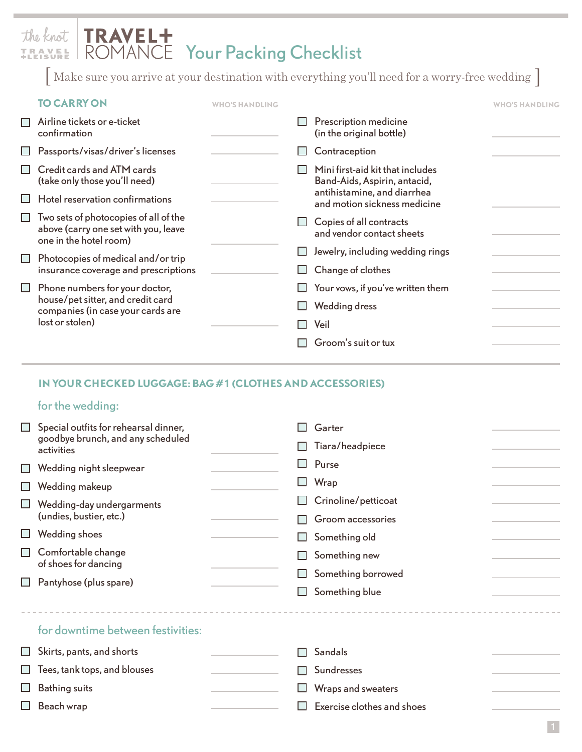## TRAVEL+<br>ROMANCE Your Packing Checklist the knot TRAVEL<br>+LEISURE

[ Make sure you arrive at your destination with everything you'll need for a worry-free wedding ]

|                          | <b>TO CARRY ON</b>                                                                                                          | <b>WHO'S HANDLING</b> |                                                                  | <b>WHO'S HANDLING</b> |
|--------------------------|-----------------------------------------------------------------------------------------------------------------------------|-----------------------|------------------------------------------------------------------|-----------------------|
| $\overline{\phantom{a}}$ | Airline tickets or e-ticket<br>confirmation                                                                                 |                       | Prescription medicine<br>(in the original bottle)                |                       |
| ப                        | Passports/visas/driver's licenses                                                                                           |                       | Contraception                                                    |                       |
| $\mathbf{L}$             | Credit cards and ATM cards<br>(take only those you'll need)                                                                 |                       | Mini first-aid kit that includes<br>Band-Aids, Aspirin, antacid, |                       |
| ш                        | Hotel reservation confirmations                                                                                             |                       | antihistamine, and diarrhea<br>and motion sickness medicine      |                       |
| $\mathbf{I}$             | Two sets of photocopies of all of the<br>above (carry one set with you, leave<br>one in the hotel room)                     |                       | Copies of all contracts<br>and vendor contact sheets             |                       |
| $\Box$                   | Photocopies of medical and/or trip<br>insurance coverage and prescriptions                                                  |                       | Jewelry, including wedding rings                                 |                       |
|                          |                                                                                                                             |                       | Change of clothes                                                |                       |
| $\Box$                   | Phone numbers for your doctor,<br>house/pet sitter, and credit card<br>companies (in case your cards are<br>lost or stolen) |                       | Your vows, if you've written them                                |                       |
|                          |                                                                                                                             |                       | <b>Wedding dress</b>                                             |                       |
|                          |                                                                                                                             |                       | Veil                                                             |                       |
|                          |                                                                                                                             |                       | Groom's suit or tux                                              |                       |

## **IN YOUR CHECKED LUGGAGE: BAG #1 (CLOTHES AND ACCESSORIES)**

## for the wedding:

□ Beach wrap

| $\Box$<br>$\Box$<br>$\mathbf{I}$<br>$\Box$<br>ப<br>$\Box$<br>$\Box$ | Special outfits for rehearsal dinner,<br>goodbye brunch, and any scheduled<br>activities<br>Wedding night sleepwear<br><b>Wedding makeup</b><br>Wedding-day undergarments<br>(undies, bustier, etc.)<br>Wedding shoes<br>Comfortable change<br>of shoes for dancing<br>Pantyhose (plus spare) | Garter<br>Tiara/headpiece<br>Purse<br>Wrap<br>Crinoline/petticoat<br>Groom accessories<br>Something old<br>Something new<br>Something borrowed<br>Something blue |  |
|---------------------------------------------------------------------|-----------------------------------------------------------------------------------------------------------------------------------------------------------------------------------------------------------------------------------------------------------------------------------------------|------------------------------------------------------------------------------------------------------------------------------------------------------------------|--|
|                                                                     | for downtime between festivities:                                                                                                                                                                                                                                                             |                                                                                                                                                                  |  |
| $\Box$                                                              | Skirts, pants, and shorts                                                                                                                                                                                                                                                                     | <b>Sandals</b>                                                                                                                                                   |  |
|                                                                     | Tees, tank tops, and blouses                                                                                                                                                                                                                                                                  | <b>Sundresses</b>                                                                                                                                                |  |
|                                                                     | <b>Bathing suits</b>                                                                                                                                                                                                                                                                          | Wraps and sweaters                                                                                                                                               |  |

 $\Box$  Exercise clothes and shoes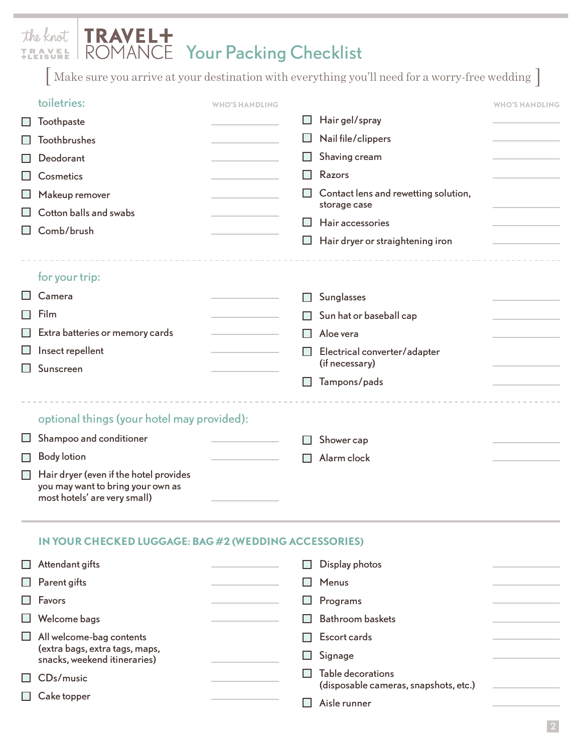# TRAVEL+<br>ROMANCE Your Packing Checklist the knot TRAVEL<br>+LEISURE

[ Make sure you arrive at your destination with everything you'll need for a worry-free wedding ]

|        | toiletries:                                                       | <b>WHO'S HANDLING</b> |                                                       | <b>WHO'S HANDLING</b> |
|--------|-------------------------------------------------------------------|-----------------------|-------------------------------------------------------|-----------------------|
| ப      | Toothpaste                                                        |                       | Hair gel/spray                                        |                       |
|        | <b>Toothbrushes</b>                                               |                       | Nail file/clippers                                    |                       |
|        | Deodorant                                                         |                       | Shaving cream                                         |                       |
|        | Cosmetics                                                         |                       | Razors                                                |                       |
|        | Makeup remover                                                    |                       | Contact lens and rewetting solution,                  |                       |
|        | Cotton balls and swabs                                            |                       | storage case<br>Hair accessories                      |                       |
| ப      | Comb/brush                                                        |                       |                                                       |                       |
|        |                                                                   |                       | Hair dryer or straightening iron                      |                       |
|        |                                                                   |                       |                                                       |                       |
|        | for your trip:<br>Camera                                          |                       |                                                       |                       |
|        | Film                                                              |                       | Sunglasses                                            |                       |
|        |                                                                   |                       | Sun hat or baseball cap                               |                       |
|        | Extra batteries or memory cards                                   |                       | Aloe vera                                             |                       |
|        | Insect repellent<br>Sunscreen                                     |                       | Electrical converter/adapter<br>(if necessary)        |                       |
| H      |                                                                   |                       | Tampons/pads                                          |                       |
|        |                                                                   |                       |                                                       |                       |
|        | optional things (your hotel may provided):                        |                       |                                                       |                       |
| ப      | Shampoo and conditioner                                           |                       | Shower cap                                            |                       |
| □      | <b>Body lotion</b>                                                |                       | Alarm clock                                           |                       |
| $\Box$ | Hair dryer (even if the hotel provides                            |                       |                                                       |                       |
|        | you may want to bring your own as<br>most hotels' are very small) |                       |                                                       |                       |
|        |                                                                   |                       |                                                       |                       |
|        |                                                                   |                       |                                                       |                       |
|        | IN YOUR CHECKED LUGGAGE: BAG #2 (WEDDING ACCESSORIES)             |                       |                                                       |                       |
|        | Attendant gifts                                                   |                       | Display photos                                        |                       |
|        | Parent gifts                                                      |                       | Menus                                                 |                       |
|        | Favors                                                            |                       | Programs                                              |                       |
|        | Welcome bags                                                      |                       | <b>Bathroom baskets</b>                               |                       |
|        | All welcome-bag contents<br>(extra bags, extra tags, maps,        |                       | Escort cards                                          |                       |
|        | snacks, weekend itineraries)                                      |                       | Signage                                               |                       |
|        | CDs/music                                                         |                       | Table decorations                                     |                       |
|        | Cake topper                                                       |                       | (disposable cameras, snapshots, etc.)<br>Aisle runner |                       |
|        |                                                                   |                       |                                                       |                       |